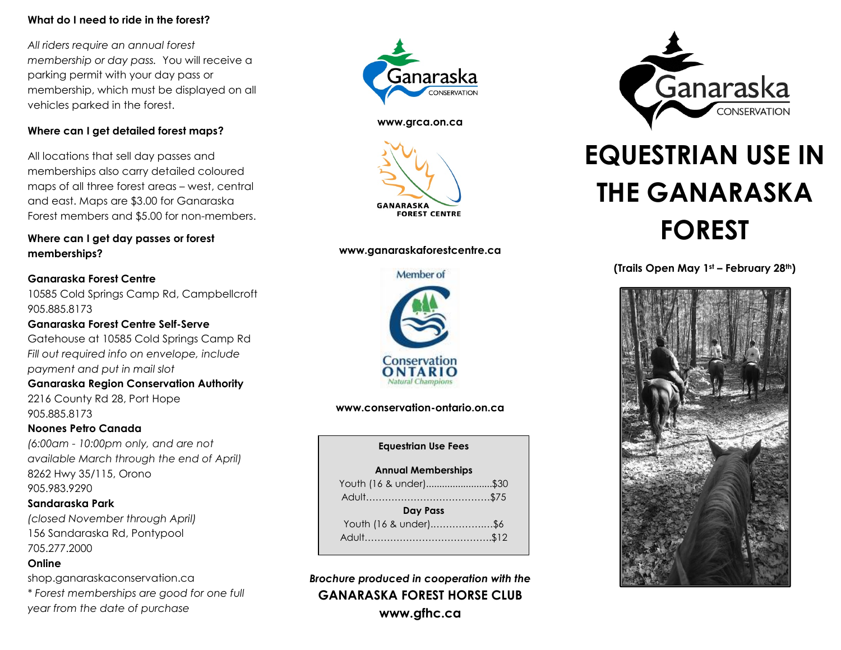### **What do I need to ride in the forest?**

*All riders require an annual forest membership or day pass.* You will receive a parking permit with your day pass or membership, which must be displayed on all vehicles parked in the forest.

### **Where can I get detailed forest maps?**

All locations that sell day passes and memberships also carry detailed coloured maps of all three forest areas – west, central and east. Maps are \$3.00 for Ganaraska Forest members and \$5.00 for non-members.

**Where can I get day passes or forest memberships?**

## **Ganaraska Forest Centre** 10585 Cold Springs Camp Rd, Campbellcroft 905.885.8173

**Ganaraska Forest Centre Self-Serve** Gatehouse at 10585 Cold Springs Camp Rd *Fill out required info on envelope, include payment and put in mail slot*

# **Ganaraska Region Conservation Authority**

2216 County Rd 28, Port Hope 905.885.8173

### **Noones Petro Canada**

*(6:00am - 10:00pm only, and are not available March through the end of April)* 8262 Hwy 35/115, Orono 905.983.9290

### **Sandaraska Park**

*(closed November through April)* 156 Sandaraska Rd, Pontypool 705.277.2000

### **Online**

shop.ganaraskaconservation.ca *\* Forest memberships are good for one full year from the date of purchase*



#### **www.grca.on.ca**



### **www.ganaraskaforestcentre.ca**



**www.conservation-ontario.on.ca**

| <b>Equestrian Use Fees</b> |  |
|----------------------------|--|
| <b>Annual Memberships</b>  |  |
| Youth (16 & under)\$30     |  |
|                            |  |
| Day Pass                   |  |
| Youth (16 & under)\$6      |  |
|                            |  |

*Brochure produced in cooperation with the*  **GANARASKA FOREST HORSE CLUB www.gfhc.ca**



# **EQUESTRIAN USE IN THE GANARASKA FOREST**

**(Trails Open May 1st – February 28th)**